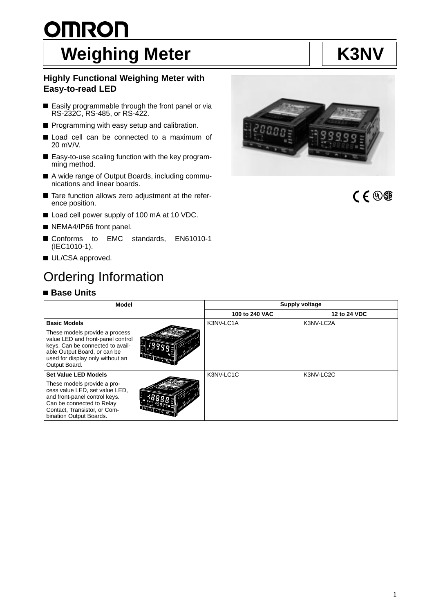# <u>OMRON</u> Weighing Meter **K3NV**

## **Highly Functional Weighing Meter with Easy-to-read LED**

- Easily programmable through the front panel or via RS-232C, RS-485, or RS-422.
- Programming with easy setup and calibration.
- Load cell can be connected to a maximum of  $\blacksquare$ 20 mV/V.
- Easy-to-use scaling function with the key programming method.
- A wide range of Output Boards, including communications and linear boards.
- Tare function allows zero adjustment at the reference position.
- Load cell power supply of 100 mA at 10 VDC.
- NEMA4/IP66 front panel.
- Conforms to EMC standards, EN61010-1 (IEC1010-1).
- UL/CSA approved.

## Ordering Information

## **Base Units**

bination Output Boards.

| Ordering Information                                                                                                                                                                                        |                |              |  |  |  |  |  |  |
|-------------------------------------------------------------------------------------------------------------------------------------------------------------------------------------------------------------|----------------|--------------|--|--|--|--|--|--|
| <b>∎ Base Units</b>                                                                                                                                                                                         |                |              |  |  |  |  |  |  |
| Supply voltage<br>Model                                                                                                                                                                                     |                |              |  |  |  |  |  |  |
|                                                                                                                                                                                                             | 100 to 240 VAC | 12 to 24 VDC |  |  |  |  |  |  |
| <b>Basic Models</b>                                                                                                                                                                                         | K3NV-LC1A      | K3NV-LC2A    |  |  |  |  |  |  |
| These models provide a process<br>value LED and front-panel control<br>keys. Can be connected to avail-<br>able Output Board, or can be<br><b>GRAY</b><br>used for display only without an<br>Output Board. |                |              |  |  |  |  |  |  |
| <b>Set Value LED Models</b>                                                                                                                                                                                 | K3NV-LC1C      | K3NV-LC2C    |  |  |  |  |  |  |
| These models provide a pro-<br>cess value LED, set value LED,<br>and front-panel control keys.<br>Can be connected to Relay<br>Contact, Transistor, or Com-<br><b>Chang</b><br>hination Output Roarde       |                |              |  |  |  |  |  |  |



CE®®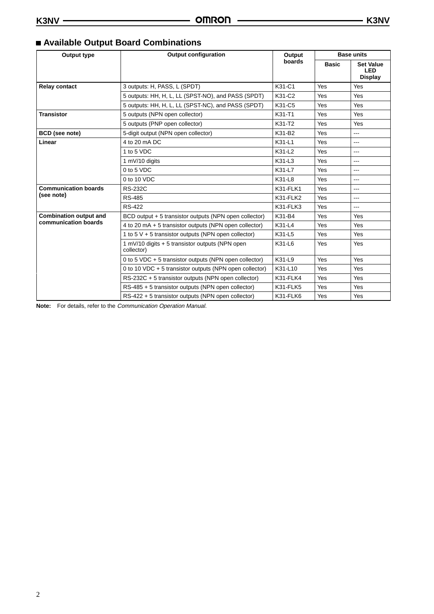| Output type                   | <b>Output configuration</b>                                   | Output          | <b>Base units</b> |                                                  |
|-------------------------------|---------------------------------------------------------------|-----------------|-------------------|--------------------------------------------------|
|                               |                                                               | boards          | <b>Basic</b>      | <b>Set Value</b><br><b>LED</b><br><b>Display</b> |
| <b>Relay contact</b>          | 3 outputs: H, PASS, L (SPDT)                                  | K31-C1          | Yes               | Yes                                              |
|                               | 5 outputs: HH, H, L, LL (SPST-NO), and PASS (SPDT)            | K31-C2          | Yes               | Yes                                              |
|                               | 5 outputs: HH, H, L, LL (SPST-NC), and PASS (SPDT)            | K31-C5          | Yes               | <b>Yes</b>                                       |
| <b>Transistor</b>             | 5 outputs (NPN open collector)                                | K31-T1          | Yes               | Yes                                              |
|                               | 5 outputs (PNP open collector)                                | K31-T2          | Yes               | Yes                                              |
| <b>BCD</b> (see note)         | 5-digit output (NPN open collector)                           | K31-B2          | Yes               | $\overline{a}$                                   |
| Linear                        | 4 to 20 mA DC                                                 | K31-L1          | Yes               | $\cdots$                                         |
|                               | 1 to 5 VDC                                                    | K31-L2          | Yes               | $---$                                            |
|                               | 1 mV/10 digits                                                | K31-L3          | Yes               | ---                                              |
|                               | 0 to 5 VDC                                                    | K31-L7          | Yes               | ---                                              |
|                               | 0 to 10 VDC                                                   | K31-L8          | Yes               | $\cdots$                                         |
| <b>Communication boards</b>   | <b>RS-232C</b>                                                | <b>K31-FLK1</b> | Yes               | $\overline{a}$                                   |
| (see note)                    | <b>RS-485</b>                                                 | K31-FLK2        | Yes               | $\cdots$                                         |
|                               | <b>RS-422</b>                                                 | K31-FLK3        | Yes               | ---                                              |
| <b>Combination output and</b> | BCD output + 5 transistor outputs (NPN open collector)        | K31-B4          | Yes               | Yes                                              |
| communication boards          | 4 to 20 mA + 5 transistor outputs (NPN open collector)        | K31-L4          | Yes               | Yes                                              |
|                               | 1 to 5 $V$ + 5 transistor outputs (NPN open collector)        | K31-L5          | Yes               | Yes                                              |
|                               | 1 mV/10 digits + 5 transistor outputs (NPN open<br>collector) | K31-L6          | Yes               | Yes                                              |
|                               | 0 to 5 VDC + 5 transistor outputs (NPN open collector)        | K31-L9          | Yes               | Yes                                              |
|                               | 0 to 10 VDC $+$ 5 transistor outputs (NPN open collector)     | K31-L10         | <b>Yes</b>        | <b>Yes</b>                                       |
|                               | RS-232C + 5 transistor outputs (NPN open collector)           | K31-FLK4        | Yes               | Yes                                              |
|                               | RS-485 + 5 transistor outputs (NPN open collector)            | K31-FLK5        | <b>Yes</b>        | Yes                                              |
|                               | RS-422 + 5 transistor outputs (NPN open collector)            | K31-FLK6        | Yes               | Yes                                              |

## **Available Output Board Combinations**

**Note:** For details, refer to the Communication Operation Manual.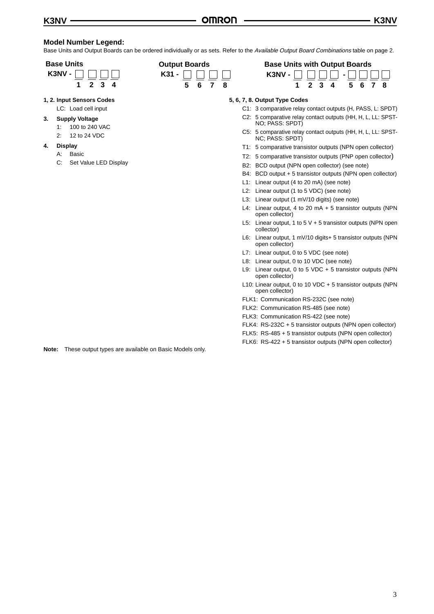### **Model Number Legend:**

Base Units and Output Boards can be ordered individually or as sets. Refer to the Available Output Board Combinations table on page 2.

#### **Base Units**

| IV -<br>K3N |  |  |
|-------------|--|--|
|             |  |  |

- **1, 2. Input Sensors Codes** LC: Load cell input
- **3. Supply Voltage**
	- 1: 100 to 240 VAC
	- 2: 12 to 24 VDC
- **4. Display**
	- A: Basic
	- C: Set Value LED Display



|    |        | <b>Base Units with Output Boards</b>               |  |                 |  |  |  |  |  |  |
|----|--------|----------------------------------------------------|--|-----------------|--|--|--|--|--|--|
|    | $\Box$ | K3NV - $\Box$ $\Box$ $\Box$ - $\Box$ $\Box$ $\Box$ |  |                 |  |  |  |  |  |  |
| 78 |        |                                                    |  | 1 2 3 4 5 6 7 8 |  |  |  |  |  |  |

#### **5, 6, 7, 8. Output Type Codes**

- C1: 3 comparative relay contact outputs (H, PASS, L: SPDT) C2: 5 comparative relay contact outputs (HH, H, L, LL: SPST-
- NO; PASS: SPDT) C5: 5 comparative relay contact outputs (HH, H, L, LL: SPST-
- NC; PASS: SPDT)
- T1: 5 comparative transistor outputs (NPN open collector)
- T2: 5 comparative transistor outputs (PNP open collector)
- B2: BCD output (NPN open collector) (see note)
- B4: BCD output + 5 transistor outputs (NPN open collector)
- L1: Linear output (4 to 20 mA) (see note)
- L2: Linear output (1 to 5 VDC) (see note)
- L3: Linear output (1 mV/10 digits) (see note)
- L4: Linear output, 4 to 20 mA + 5 transistor outputs (NPN open collector)
- L5: Linear output, 1 to 5  $V$  + 5 transistor outputs (NPN open collector)
- L6: Linear output, 1 mV/10 digits+ 5 transistor outputs (NPN open collector)
- L7: Linear output, 0 to 5 VDC (see note)
- L8: Linear output, 0 to 10 VDC (see note)
- L9: Linear output, 0 to 5 VDC + 5 transistor outputs (NPN open collector)
- L10: Linear output, 0 to 10 VDC + 5 transistor outputs (NPN open collector)
- FLK1: Communication RS-232C (see note)
- FLK2: Communication RS-485 (see note)
- FLK3: Communication RS-422 (see note)
- FLK4: RS-232C + 5 transistor outputs (NPN open collector)
- FLK5: RS-485 + 5 transistor outputs (NPN open collector)
- FLK6: RS-422 + 5 transistor outputs (NPN open collector)

**Note:** These output types are available on Basic Models only.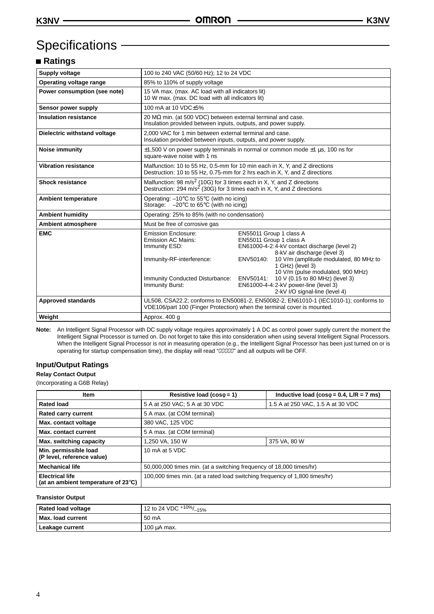## Specifications -

## **Ratings**

| Supply voltage               | 100 to 240 VAC (50/60 Hz); 12 to 24 VDC                                                                                                                                 |                                                                                                                                                                                                                                                                                                                                                                                                            |  |  |
|------------------------------|-------------------------------------------------------------------------------------------------------------------------------------------------------------------------|------------------------------------------------------------------------------------------------------------------------------------------------------------------------------------------------------------------------------------------------------------------------------------------------------------------------------------------------------------------------------------------------------------|--|--|
| Operating voltage range      | 85% to 110% of supply voltage                                                                                                                                           |                                                                                                                                                                                                                                                                                                                                                                                                            |  |  |
| Power consumption (see note) | 15 VA max. (max. AC load with all indicators lit)<br>10 W max. (max. DC load with all indicators lit)                                                                   |                                                                                                                                                                                                                                                                                                                                                                                                            |  |  |
| Sensor power supply          | 100 mA at 10 VDC+5%                                                                                                                                                     |                                                                                                                                                                                                                                                                                                                                                                                                            |  |  |
| <b>Insulation resistance</b> | 20 MΩ min. (at 500 VDC) between external terminal and case.<br>Insulation provided between inputs, outputs, and power supply.                                           |                                                                                                                                                                                                                                                                                                                                                                                                            |  |  |
| Dielectric withstand voltage | 2.000 VAC for 1 min between external terminal and case.<br>Insulation provided between inputs, outputs, and power supply.                                               |                                                                                                                                                                                                                                                                                                                                                                                                            |  |  |
| <b>Noise immunity</b>        | $\pm$ 1,500 V on power supply terminals in normal or common mode $\pm$ 1 µs, 100 ns for<br>square-wave noise with 1 ns                                                  |                                                                                                                                                                                                                                                                                                                                                                                                            |  |  |
| <b>Vibration resistance</b>  | Malfunction: 10 to 55 Hz, 0.5-mm for 10 min each in X, Y, and Z directions<br>Destruction: 10 to 55 Hz, 0.75-mm for 2 hrs each in X, Y, and Z directions                |                                                                                                                                                                                                                                                                                                                                                                                                            |  |  |
| <b>Shock resistance</b>      | Malfunction: 98 m/s <sup>2</sup> (10G) for 3 times each in X, Y, and Z directions<br>Destruction: 294 m/s <sup>2</sup> (30G) for 3 times each in X, Y, and Z directions |                                                                                                                                                                                                                                                                                                                                                                                                            |  |  |
| <b>Ambient temperature</b>   | Operating: $-10^{\circ}$ C to 55 $^{\circ}$ C (with no icing)<br>Storage: $-20^{\circ}$ C to 65 $^{\circ}$ C (with no icing)                                            |                                                                                                                                                                                                                                                                                                                                                                                                            |  |  |
| <b>Ambient humidity</b>      | Operating: 25% to 85% (with no condensation)                                                                                                                            |                                                                                                                                                                                                                                                                                                                                                                                                            |  |  |
| <b>Ambient atmosphere</b>    | Must be free of corrosive gas                                                                                                                                           |                                                                                                                                                                                                                                                                                                                                                                                                            |  |  |
| <b>EMC</b>                   | <b>Emission Enclosure:</b><br><b>Emission AC Mains:</b><br>Immunity ESD:<br>Immunity-RF-interference:<br>Immunity Burst:                                                | EN55011 Group 1 class A<br>EN55011 Group 1 class A<br>EN61000-4-2:4-kV contact discharge (level 2)<br>8-kV air discharge (level 3)<br>ENV50140:<br>10 V/m (amplitude modulated, 80 MHz to<br>1 GHz) (level 3)<br>10 V/m (pulse modulated, 900 MHz)<br>Immunity Conducted Disturbance: ENV50141: 10 V (0.15 to 80 MHz) (level 3)<br>EN61000-4-4:2-kV power-line (level 3)<br>2-kV I/O signal-line (level 4) |  |  |
| <b>Approved standards</b>    | UL508, CSA22.2; conforms to EN50081-2, EN50082-2, EN61010-1 (IEC1010-1); conforms to<br>VDE106/part 100 (Finger Protection) when the terminal cover is mounted.         |                                                                                                                                                                                                                                                                                                                                                                                                            |  |  |
| Weight                       | Approx. 400 g                                                                                                                                                           |                                                                                                                                                                                                                                                                                                                                                                                                            |  |  |

**Note:** An Intelligent Signal Processor with DC supply voltage requires approximately 1 A DC as control power supply current the moment the Intelligent Signal Processor is turned on. Do not forget to take this into consideration when using several Intelligent Signal Processors. When the Intelligent Signal Processor is not in measuring operation (e.g., the Intelligent Signal Processor has been just turned on or is<br>operating for startup compensation time), the display will read "00000" and all outp

## **Input/Output Ratings**

## **Relay Contact Output**

(Incorporating a G6B Relay)

| <b>Item</b>                                                             | Resistive load ( $cos\phi = 1$ )                                           | Inductive load ( $cos\phi = 0.4$ , L/R = 7 ms) |  |  |
|-------------------------------------------------------------------------|----------------------------------------------------------------------------|------------------------------------------------|--|--|
| <b>Rated load</b>                                                       | 5 A at 250 VAC; 5 A at 30 VDC                                              | 1.5 A at 250 VAC, 1.5 A at 30 VDC              |  |  |
| <b>Rated carry current</b>                                              | 5 A max. (at COM terminal)                                                 |                                                |  |  |
| Max. contact voltage                                                    | 380 VAC, 125 VDC                                                           |                                                |  |  |
| Max. contact current                                                    | 5 A max. (at COM terminal)                                                 |                                                |  |  |
| Max. switching capacity                                                 | 1,250 VA, 150 W<br>375 VA, 80 W                                            |                                                |  |  |
| Min. permissible load<br>(P level, reference value)                     | 10 mA at 5 VDC                                                             |                                                |  |  |
| <b>Mechanical life</b>                                                  | 50,000,000 times min. (at a switching frequency of 18,000 times/hr)        |                                                |  |  |
| <b>Electrical life</b><br>(at an ambient temperature of $23^{\circ}$ C) | 100,000 times min. (at a rated load switching frequency of 1,800 times/hr) |                                                |  |  |

#### **Transistor Output**

| <b>Rated load voltage</b> | 12 to 24 VDC <sup>+10%</sup> /<br>$\frac{2}{-15\%}$ |
|---------------------------|-----------------------------------------------------|
| Max. load current         | 50 mA                                               |
| Leakage current           | $100 \mu A$ max.                                    |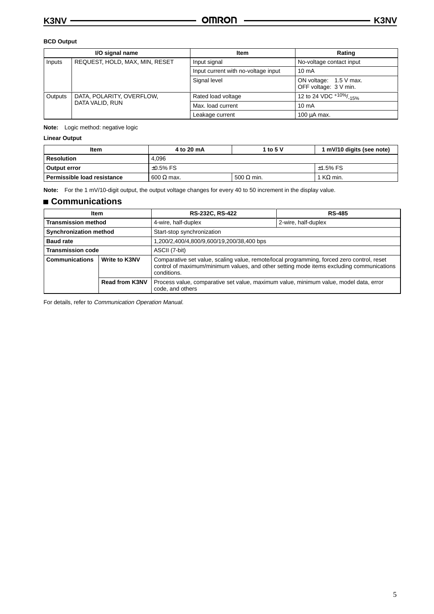### **BCD Output**

|                 | I/O signal name                | <b>Item</b>                         | Rating                                          |
|-----------------|--------------------------------|-------------------------------------|-------------------------------------------------|
| Inputs          | REQUEST, HOLD, MAX, MIN, RESET | Input signal                        | No-voltage contact input                        |
|                 |                                | Input current with no-voltage input | $10 \text{ mA}$                                 |
|                 |                                | Signal level                        | ON voltage: 1.5 V max.<br>OFF voltage: 3 V min. |
| Outputs         | DATA, POLARITY, OVERFLOW,      | Rated load voltage                  | 12 to 24 VDC $+10\%$ / <sub>-15</sub> %         |
| DATA VALID, RUN |                                | Max. load current                   | $10 \text{ mA}$                                 |
|                 |                                | Leakage current                     | 100 µA max.                                     |

**Note:** Logic method: negative logic

### **Linear Output**

| <b>Item</b>                   | 1 to 5 V<br>4 to 20 mA |                   | 1 mV/10 digits (see note) |  |
|-------------------------------|------------------------|-------------------|---------------------------|--|
| 4.096<br>Resolution           |                        |                   |                           |  |
| Output error                  | $\pm 0.5\%$ FS         | $±1.5\%$ FS       |                           |  |
| . Permissible load resistance | 600 $\Omega$ max.      | 500 $\Omega$ min. | $1$ KQ min.               |  |

**Note:** For the 1 mV/10-digit output, the output voltage changes for every 40 to 50 increment in the display value.

## **Communications**

| Item                          |                       | RS-232C, RS-422<br><b>RS-485</b>                                                                                                                                                                      |  |  |
|-------------------------------|-----------------------|-------------------------------------------------------------------------------------------------------------------------------------------------------------------------------------------------------|--|--|
| <b>Transmission method</b>    |                       | 4-wire, half-duplex<br>2-wire, half-duplex                                                                                                                                                            |  |  |
| <b>Synchronization method</b> |                       | Start-stop synchronization                                                                                                                                                                            |  |  |
| <b>Baud rate</b>              |                       | 1,200/2,400/4,800/9,600/19,200/38,400 bps                                                                                                                                                             |  |  |
| <b>Transmission code</b>      |                       | ASCII (7-bit)                                                                                                                                                                                         |  |  |
| <b>Communications</b>         | <b>Write to K3NV</b>  | Comparative set value, scaling value, remote/local programming, forced zero control, reset<br>control of maximum/minimum values, and other setting mode items excluding communications<br>conditions. |  |  |
|                               | <b>Read from K3NV</b> | Process value, comparative set value, maximum value, minimum value, model data, error<br>code, and others                                                                                             |  |  |

For details, refer to Communication Operation Manual.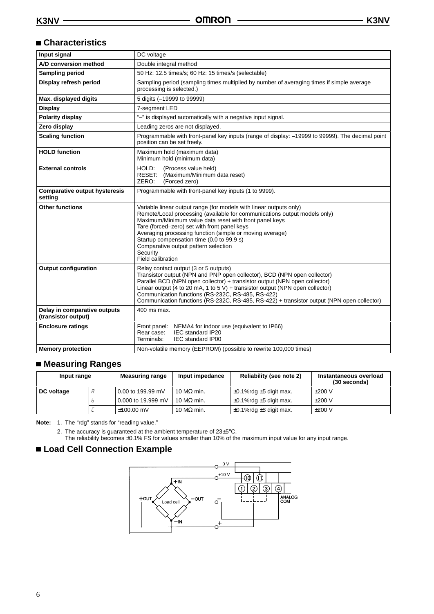## **Characteristics**

| Input signal                                        | DC voltage                                                                                                                                                                                                                                                                                                                                                                                                                                   |  |  |  |
|-----------------------------------------------------|----------------------------------------------------------------------------------------------------------------------------------------------------------------------------------------------------------------------------------------------------------------------------------------------------------------------------------------------------------------------------------------------------------------------------------------------|--|--|--|
| A/D conversion method                               | Double integral method                                                                                                                                                                                                                                                                                                                                                                                                                       |  |  |  |
| <b>Sampling period</b>                              | 50 Hz: 12.5 times/s; 60 Hz: 15 times/s (selectable)                                                                                                                                                                                                                                                                                                                                                                                          |  |  |  |
| Display refresh period                              | Sampling period (sampling times multiplied by number of averaging times if simple average<br>processing is selected.)                                                                                                                                                                                                                                                                                                                        |  |  |  |
| Max. displayed digits                               | 5 digits (-19999 to 99999)                                                                                                                                                                                                                                                                                                                                                                                                                   |  |  |  |
| <b>Display</b>                                      | 7-segment LED                                                                                                                                                                                                                                                                                                                                                                                                                                |  |  |  |
| <b>Polarity display</b>                             | "-" is displayed automatically with a negative input signal.                                                                                                                                                                                                                                                                                                                                                                                 |  |  |  |
| Zero display                                        | Leading zeros are not displayed.                                                                                                                                                                                                                                                                                                                                                                                                             |  |  |  |
| <b>Scaling function</b>                             | Programmable with front-panel key inputs (range of display: -19999 to 99999). The decimal point<br>position can be set freely.                                                                                                                                                                                                                                                                                                               |  |  |  |
| <b>HOLD</b> function                                | Maximum hold (maximum data)<br>Minimum hold (minimum data)                                                                                                                                                                                                                                                                                                                                                                                   |  |  |  |
| <b>External controls</b>                            | HOLD:<br>(Process value held)<br>RESET:<br>(Maximum/Minimum data reset)<br>ZERO:<br>(Forced zero)                                                                                                                                                                                                                                                                                                                                            |  |  |  |
| <b>Comparative output hysteresis</b><br>setting     | Programmable with front-panel key inputs (1 to 9999).                                                                                                                                                                                                                                                                                                                                                                                        |  |  |  |
| <b>Other functions</b>                              | Variable linear output range (for models with linear outputs only)<br>Remote/Local processing (available for communications output models only)<br>Maximum/Minimum value data reset with front panel keys<br>Tare (forced-zero) set with front panel keys<br>Averaging processing function (simple or moving average)<br>Startup compensation time (0.0 to 99.9 s)<br>Comparative output pattern selection<br>Security<br>Field calibration  |  |  |  |
| <b>Output configuration</b>                         | Relay contact output (3 or 5 outputs)<br>Transistor output (NPN and PNP open collector), BCD (NPN open collector)<br>Parallel BCD (NPN open collector) + transistor output (NPN open collector)<br>Linear output (4 to 20 mA, 1 to 5 $\dot{V}$ ) + transistor output (NPN open collector)<br>Communication functions (RS-232C, RS-485, RS-422)<br>Communication functions (RS-232C, RS-485, RS-422) + transistor output (NPN open collector) |  |  |  |
| Delay in comparative outputs<br>(transistor output) | 400 ms max.                                                                                                                                                                                                                                                                                                                                                                                                                                  |  |  |  |
| <b>Enclosure ratings</b>                            | Front panel: NEMA4 for indoor use (equivalent to IP66)<br>Rear case:<br>IEC standard IP20<br><b>IEC standard IP00</b><br>Terminals:                                                                                                                                                                                                                                                                                                          |  |  |  |
| <b>Memory protection</b>                            | Non-volatile memory (EEPROM) (possible to rewrite 100,000 times)                                                                                                                                                                                                                                                                                                                                                                             |  |  |  |

## **Measuring Ranges**

| Input range |   | <b>Measuring range</b> | Input impedance    | Reliability (see note 2)           | Instantaneous overload<br>$(30$ seconds) |
|-------------|---|------------------------|--------------------|------------------------------------|------------------------------------------|
| DC voltage  | я | 0.00 to 199.99 mV      | 10 MΩ min.         | $\pm 0.1\%$ rdg $\pm 5$ digit max. | $\pm 200$ V                              |
|             |   | 0.000 to 19.999 mV     | 10 M $\Omega$ min. | $\pm 0.1\%$ rdg $\pm 5$ digit max. | $\pm 200$ V                              |
|             |   | $±100.00$ mV           | 10 M $\Omega$ min. | $\pm$ 0.1%rdg $\pm$ 3 digit max.   | $±200$ V                                 |

**Note:** 1. The "rdg" stands for "reading value."

2. The accuracy is guaranteed at the ambient temperature of  $23\pm5^{\circ}$ C.

The reliability becomes ±0.1% FS for values smaller than 10% of the maximum input value for any input range.

## **Load Cell Connection Example**

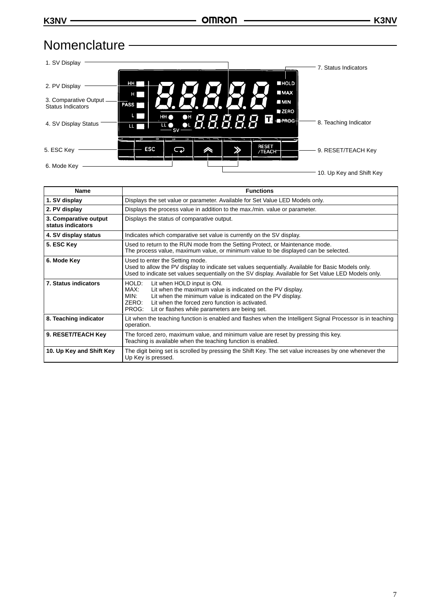## **Nomenclature**



| <b>Name</b>                                | <b>Functions</b>                                                                                                                                                                                                                                                                                       |  |  |  |
|--------------------------------------------|--------------------------------------------------------------------------------------------------------------------------------------------------------------------------------------------------------------------------------------------------------------------------------------------------------|--|--|--|
| 1. SV display                              | Displays the set value or parameter. Available for Set Value LED Models only.                                                                                                                                                                                                                          |  |  |  |
| 2. PV display                              | Displays the process value in addition to the max./min. value or parameter.                                                                                                                                                                                                                            |  |  |  |
| 3. Comparative output<br>status indicators | Displays the status of comparative output.                                                                                                                                                                                                                                                             |  |  |  |
| 4. SV display status                       | Indicates which comparative set value is currently on the SV display.                                                                                                                                                                                                                                  |  |  |  |
| 5. ESC Key                                 | Used to return to the RUN mode from the Setting Protect, or Maintenance mode.<br>The process value, maximum value, or minimum value to be displayed can be selected.                                                                                                                                   |  |  |  |
| 6. Mode Key                                | Used to enter the Setting mode.<br>Used to allow the PV display to indicate set values sequentially. Available for Basic Models only.<br>Used to indicate set values sequentially on the SV display. Available for Set Value LED Models only.                                                          |  |  |  |
| 7. Status indicators                       | HOLD:<br>Lit when HOLD input is ON.<br>Lit when the maximum value is indicated on the PV display.<br>MAX:<br>MIN:<br>Lit when the minimum value is indicated on the PV display.<br>ZERO:<br>Lit when the forced zero function is activated.<br>PROG:<br>Lit or flashes while parameters are being set. |  |  |  |
| 8. Teaching indicator                      | Lit when the teaching function is enabled and flashes when the Intelligent Signal Processor is in teaching<br>operation.                                                                                                                                                                               |  |  |  |
| 9. RESET/TEACH Key                         | The forced zero, maximum value, and minimum value are reset by pressing this key.<br>Teaching is available when the teaching function is enabled.                                                                                                                                                      |  |  |  |
| 10. Up Key and Shift Key                   | The digit being set is scrolled by pressing the Shift Key. The set value increases by one whenever the<br>Up Key is pressed.                                                                                                                                                                           |  |  |  |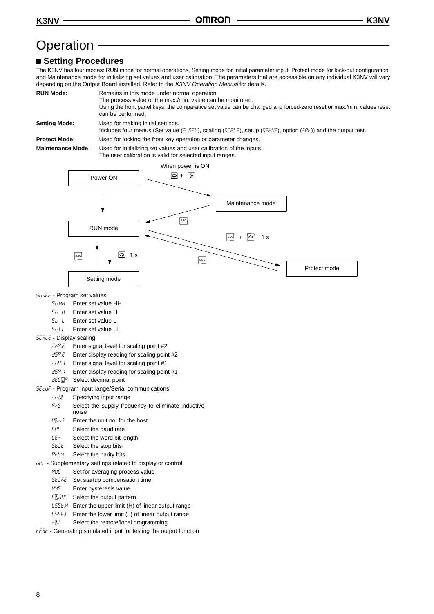## Operation -

## **Setting Procedures**

The K3NV has four modes: RUN mode for normal operations, Setting mode for initial parameter input, Protect mode for lock-out configuration, and Maintenance mode for initializing set values and user calibration. The parameters that are accessible on any individual K3NV will vary depending on the Output Board installed. Refer to the K3NV Operation Manual for details.

| <b>RUN Mode:</b>     | Remains in this mode under normal operation.                                                                                                                               |  |  |
|----------------------|----------------------------------------------------------------------------------------------------------------------------------------------------------------------------|--|--|
|                      | The process value or the max./min. value can be monitored.                                                                                                                 |  |  |
|                      | Using the front panel keys, the comparative set value can be changed and forced-zero reset or max./min. values reset<br>can be performed.                                  |  |  |
| <b>Setting Mode:</b> | Used for making initial settings.<br>Includes four menus (Set value (5 $55EE$ ), scaling (5 $ERE$ ), setup (5 $EELIP$ ), option ( $\overline{5PE}$ )) and the output test. |  |  |
| <b>Protect Mode:</b> | Used for locking the front key operation or parameter changes.                                                                                                             |  |  |

**Maintenance Mode:** Used for initializing set values and user calibration of the inputs. The user calibration is valid for selected input ranges.



- 5u5EL Program set values
	-
	- $5\omega$ .  $H$  Enter set value H
	- $5u.$  L Enter set value L
	- Su.LL Enter set value LL
- $5CRLE$  Display scaling
	- $\bar{L}nP.2$  Enter signal level for scaling point #2
	- d5P.2 Enter display reading for scaling point #2
	- $\bar{L}nP$ . I Enter signal level for scaling point #1
	- $dSP.1$  Enter display reading for scaling point #1
	- $dE[\mathbb{CP}$  Select decimal point

#### **SEEUP** - Program input range/Serial communications

- *intile* Specifying input range
- $F E$  Select the supply frequency to eliminate inductive noise
- $U\bar{U}n\bar{o}$  Enter the unit no. for the host
- $bP5$  Select the baud rate
- $LEn$  Select the word bit length
- Sbill Select the stop bits
- $P$  $E$   $F$  Select the parity bits
- $\bar{\phi}P$ <sub>c</sub> Supplementary settings related to display or control
	- RUG Set for averaging process value
	- **SECRE** Set startup compensation time
	- **HY5** Enter hysteresis value
	- C**U**GUE Select the output pattern
	- $LSEEM$  Enter the upper limit (H) of linear output range
	- $L 5EEL$  Enter the lower limit (L) of linear output range
	- r<sub>乙</sub>L Select the remote/local programming
- $E55E$  Generating simulated input for testing the output function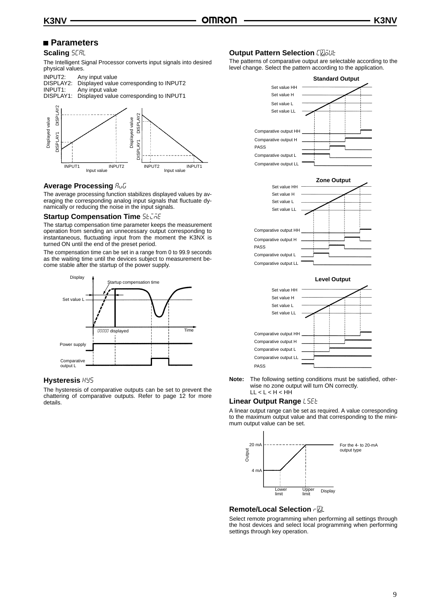## **Parameters**

#### **Scaling SERL**

The Intelligent Signal Processor converts input signals into desired physical values.



### **Average Processing** *Rub*

The average processing function stabilizes displayed values by averaging the corresponding analog input signals that fluctuate dynamically or reducing the noise in the input signals.

#### **Startup Compensation Time 56 Che**

The startup compensation time parameter keeps the measurement operation from sending an unnecessary output corresponding to instantaneous, fluctuating input from the moment the K3NX is turned ON until the end of the preset period.

The compensation time can be set in a range from 0 to 99.9 seconds as the waiting time until the devices subject to measurement become stable after the startup of the power supply.



#### **Hysteresis** hys

The hysteresis of comparative outputs can be set to prevent the chattering of comparative outputs. Refer to page 12 for more details.

### **Output Pattern Selection [ElaLIE**

The patterns of comparative output are selectable according to the level change. Select the pattern according to the application.







**Note:** The following setting conditions must be satisfied, otherwise no zone output will turn ON correctly. LL < L < H < HH

### **Linear Output Range L5EE**

A linear output range can be set as required. A value corresponding to the maximum output value and that corresponding to the minimum output value can be set.



### **Remote/Local Selection rll**

Select remote programming when performing all settings through the host devices and select local programming when performing settings through key operation.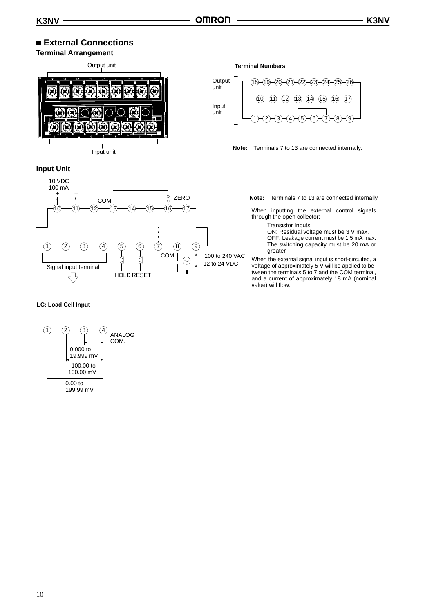## **External Connections**

## **Terminal Arrangement**

Output unit  $\bf \Omega$ Y Input unit

## **Input Unit**



#### **LC: Load Cell Input**



#### **Terminal Numbers**



#### **Note:** Terminals 7 to 13 are connected internally.

**Note:** Terminals 7 to 13 are connected internally.

When inputting the external control signals through the open collector:

Transistor Inputs:

ON: Residual voltage must be 3 V max.

OFF: Leakage current must be 1.5 mA max. The switching capacity must be 20 mA or greater.

When the external signal input is short-circuited, a voltage of approximately 5 V will be applied to between the terminals 5 to 7 and the COM terminal, and a current of approximately 18 mA (nominal value) will flow.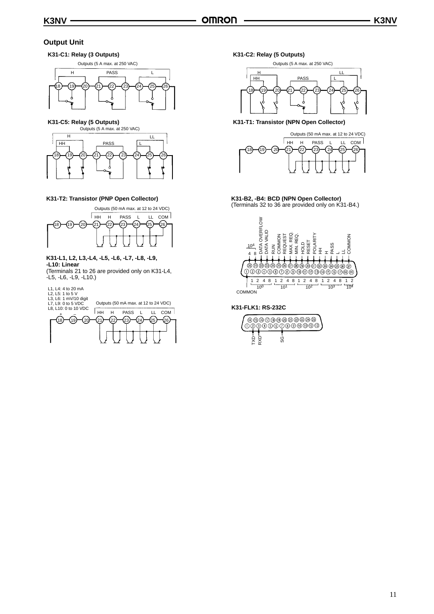## **Output Unit**

### **K31-C1: Relay (3 Outputs)**



**K31-C5: Relay (5 Outputs)**



#### **K31-T2: Transistor (PNP Open Collector)**



#### **K31-L1, L2, L3,-L4, -L5, -L6, -L7, -L8, -L9, -L10: Linear** (Terminals 21 to 26 are provided only on K31-L4,

-L5, -L6, -L9, -L10.)



**K31-C2: Relay (5 Outputs)**

Outputs (5 A max. at 250 VAC)



**K31-T1: Transistor (NPN Open Collector)**



**K31-B2, -B4: BCD (NPN Open Collector)** (Terminals 32 to 36 are provided only on K31-B4.)



## **K31-FLK1: RS-232C**

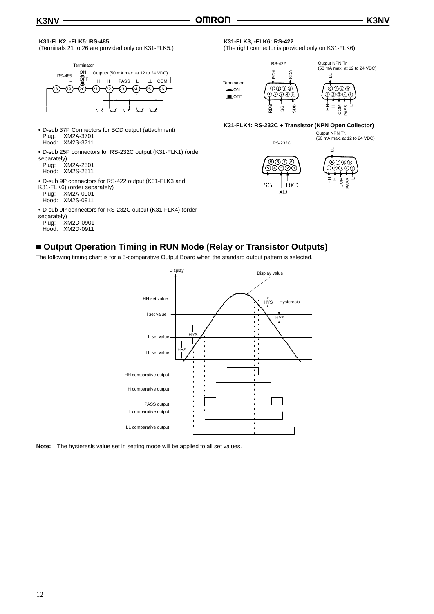#### **K31-FLK2, -FLK5: RS-485**

(Terminals 21 to 26 are provided only on K31-FLK5.)



- D-sub 37P Connectors for BCD output (attachment) Plug: XM2A-3701 Hood: XM2S-3711
- D-sub 25P connectors for RS-232C output (K31-FLK1) (order separately)

| Plug: | XM2A-2501 |
|-------|-----------|
| Hood: | XM2S-2511 |

- D-sub 9P connectors for RS-422 output (K31-FLK3 and
- K31-FLK6) (order separately) Plug: XM2A-0901
- Hood: XM2S-0911
- D-sub 9P connectors for RS-232C output (K31-FLK4) (order

## separately)<br>Plug: X

 $XM2D-0901$ Hood: XM2D-0911

## **K31-FLK3, -FLK6: RS-422**

(The right connector is provided only on K31-FLK6)



Output NPN Tr. (50 mA max. at 12 to 24 VDC)  $\exists$ ல்லை



### **K31-FLK4: RS-232C + Transistor (NPN Open Collector)**

Output NPN Tr. (50 mA max. at 12 to 24 VDC) RS-232C





## ■ Output Operation Timing in RUN Mode (Relay or Transistor Outputs)

The following timing chart is for a 5-comparative Output Board when the standard output pattern is selected.



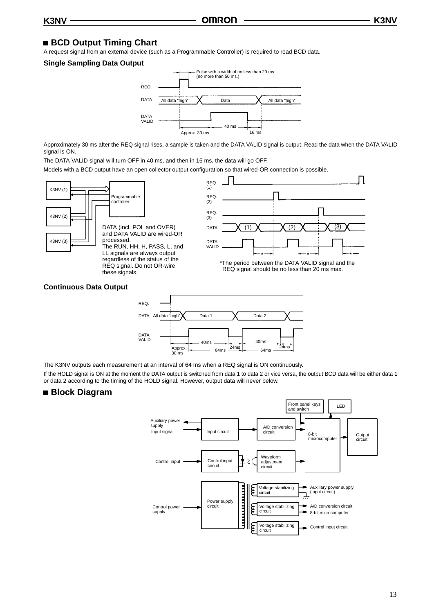## **BCD Output Timing Chart**

A request signal from an external device (such as a Programmable Controller) is required to read BCD data.

#### **Single Sampling Data Output**



Approximately 30 ms after the REQ signal rises, a sample is taken and the DATA VALID signal is output. Read the data when the DATA VALID signal is ON.

The DATA VALID signal will turn OFF in 40 ms, and then in 16 ms, the data will go OFF.

Models with a BCD output have an open collector output configuration so that wired-OR connection is possible.





The K3NV outputs each measurement at an interval of 64 ms when a REQ signal is ON continuously.

If the HOLD signal is ON at the moment the DATA output is switched from data 1 to data 2 or vice versa, the output BCD data will be either data 1 or data 2 according to the timing of the HOLD signal. However, output data will never below.

## **Block Diagram**

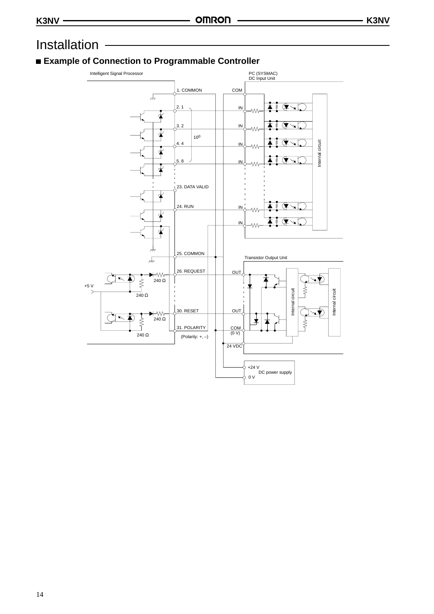## Installation

## **Example of Connection to Programmable Controller**

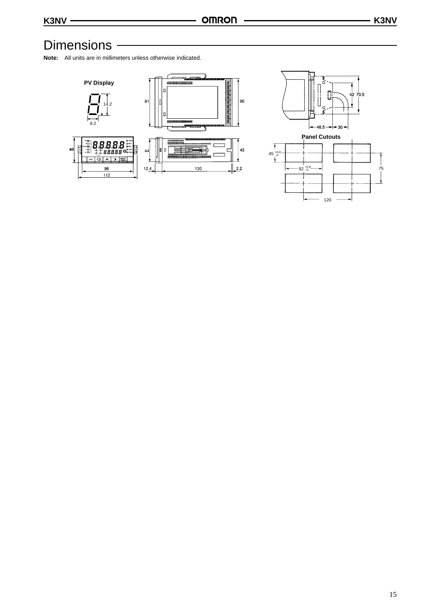## Dimensions -

**Note:** All units are in millimeters unless otherwise indicated.